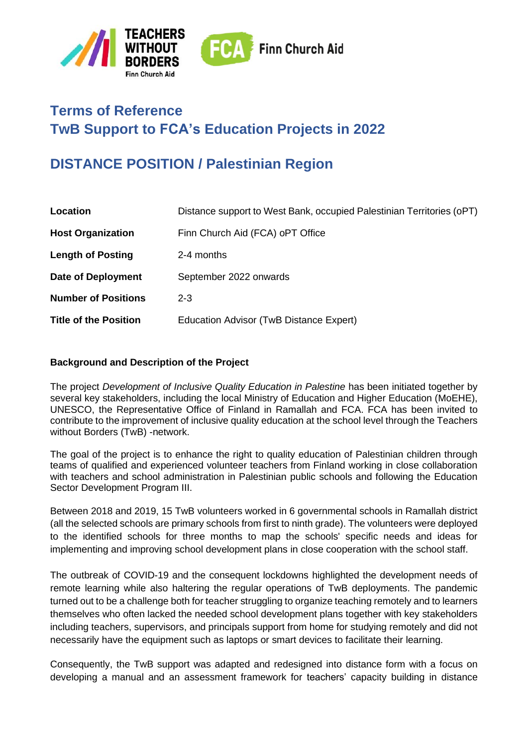

# **Terms of Reference TwB Support to FCA's Education Projects in 2022**

# **DISTANCE POSITION / Palestinian Region**

| Distance support to West Bank, occupied Palestinian Territories (oPT) |
|-----------------------------------------------------------------------|
| Finn Church Aid (FCA) oPT Office                                      |
| 2-4 months                                                            |
| September 2022 onwards                                                |
| $2 - 3$                                                               |
| Education Advisor (TwB Distance Expert)                               |
|                                                                       |

#### **Background and Description of the Project**

The project *Development of Inclusive Quality Education in Palestine* has been initiated together by several key stakeholders, including the local Ministry of Education and Higher Education (MoEHE), UNESCO, the Representative Office of Finland in Ramallah and FCA. FCA has been invited to contribute to the improvement of inclusive quality education at the school level through the Teachers without Borders (TwB) -network.

The goal of the project is to enhance the right to quality education of Palestinian children through teams of qualified and experienced volunteer teachers from Finland working in close collaboration with teachers and school administration in Palestinian public schools and following the Education Sector Development Program III.

Between 2018 and 2019, 15 TwB volunteers worked in 6 governmental schools in Ramallah district (all the selected schools are primary schools from first to ninth grade). The volunteers were deployed to the identified schools for three months to map the schools' specific needs and ideas for implementing and improving school development plans in close cooperation with the school staff.

The outbreak of COVID-19 and the consequent lockdowns highlighted the development needs of remote learning while also haltering the regular operations of TwB deployments. The pandemic turned out to be a challenge both for teacher struggling to organize teaching remotely and to learners themselves who often lacked the needed school development plans together with key stakeholders including teachers, supervisors, and principals support from home for studying remotely and did not necessarily have the equipment such as laptops or smart devices to facilitate their learning.

Consequently, the TwB support was adapted and redesigned into distance form with a focus on developing a manual and an assessment framework for teachers' capacity building in distance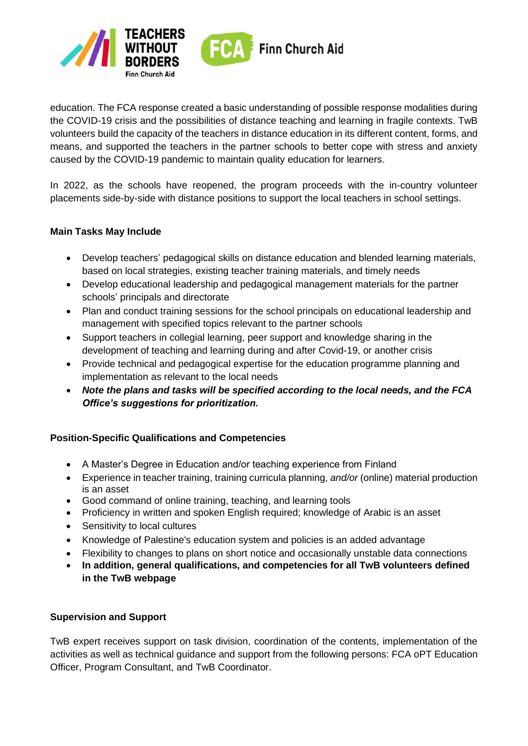

education. The FCA response created a basic understanding of possible response modalities during the COVID-19 crisis and the possibilities of distance teaching and learning in fragile contexts. TwB volunteers build the capacity of the teachers in distance education in its different content, forms, and means, and supported the teachers in the partner schools to better cope with stress and anxiety caused by the COVID-19 pandemic to maintain quality education for learners.

In 2022, as the schools have reopened, the program proceeds with the in-country volunteer placements side-by-side with distance positions to support the local teachers in school settings.

### **Main Tasks May Include**

- Develop teachers' pedagogical skills on distance education and blended learning materials, based on local strategies, existing teacher training materials, and timely needs
- Develop educational leadership and pedagogical management materials for the partner schools' principals and directorate
- Plan and conduct training sessions for the school principals on educational leadership and management with specified topics relevant to the partner schools
- Support teachers in collegial learning, peer support and knowledge sharing in the development of teaching and learning during and after Covid-19, or another crisis
- Provide technical and pedagogical expertise for the education programme planning and implementation as relevant to the local needs
- *Note the plans and tasks will be specified according to the local needs, and the FCA Office's suggestions for prioritization.*

### **Position-Specific Qualifications and Competencies**

- A Master's Degree in Education and/or teaching experience from Finland
- Experience in teacher training, training curricula planning, *and/or* (online) material production is an asset
- Good command of online training, teaching, and learning tools
- Proficiency in written and spoken English required; knowledge of Arabic is an asset
- Sensitivity to local cultures
- Knowledge of Palestine's education system and policies is an added advantage
- Flexibility to changes to plans on short notice and occasionally unstable data connections
- **In addition, general qualifications, and competencies for all TwB volunteers defined in the TwB webpage**

#### **Supervision and Support**

TwB expert receives support on task division, coordination of the contents, implementation of the activities as well as technical guidance and support from the following persons: FCA oPT Education Officer, Program Consultant, and TwB Coordinator.